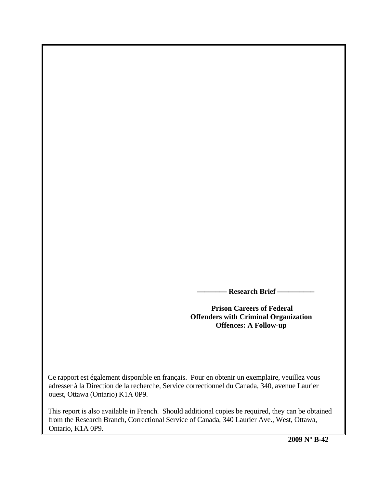**Research Brief —** 

 **Prison Careers of Federal Offenders with Criminal Organization Offences: A Follow-up** 

 Ce rapport est également disponible en français. Pour en obtenir un exemplaire, veuillez vous adresser à la Direction de la recherche, Service correctionnel du Canada, 340, avenue Laurier ouest, Ottawa (Ontario) K1A 0P9.

 This report is also available in French. Should additional copies be required, they can be obtained from the Research Branch, Correctional Service of Canada, 340 Laurier Ave., West, Ottawa, Ontario, K1A 0P9.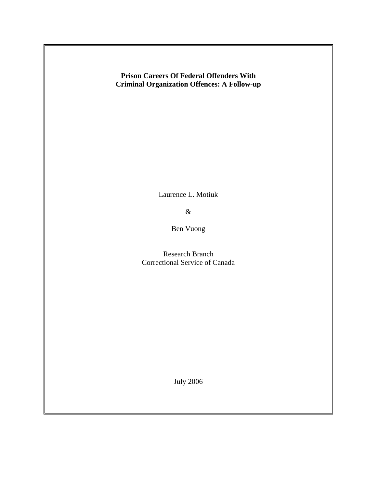# **Prison Careers Of Federal Offenders With Criminal Organization Offences: A Follow-up**

Laurence L. Motiuk

&

Ben Vuong

 Research Branch Correctional Service of Canada

July 2006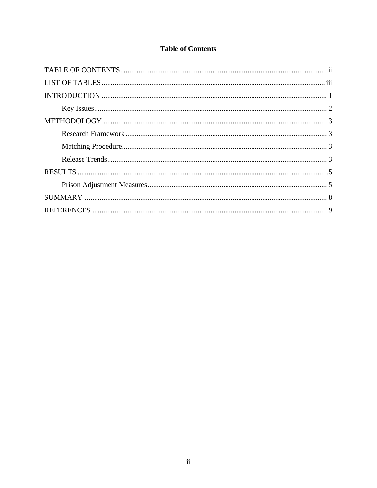# **Table of Contents**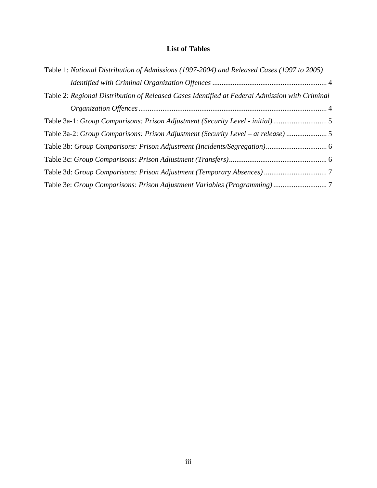# **List of Tables**

| Table 1: National Distribution of Admissions (1997-2004) and Released Cases (1997 to 2005)     |
|------------------------------------------------------------------------------------------------|
|                                                                                                |
| Table 2: Regional Distribution of Released Cases Identified at Federal Admission with Criminal |
|                                                                                                |
| Table 3a-1: Group Comparisons: Prison Adjustment (Security Level - initial)                    |
| Table 3a-2: Group Comparisons: Prison Adjustment (Security Level – at release) 5               |
|                                                                                                |
|                                                                                                |
|                                                                                                |
|                                                                                                |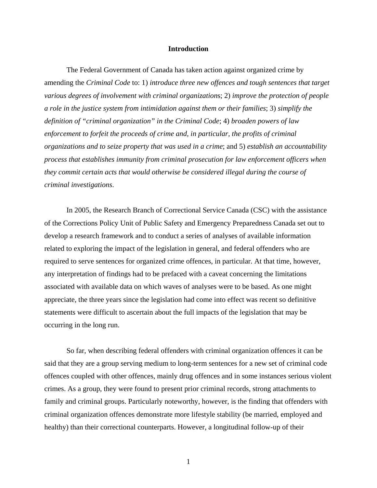#### **Introduction**

The Federal Government of Canada has taken action against organized crime by amending the *Criminal Code* to: 1) *introduce three new offences and tough sentences that target various degrees of involvement with criminal organization*s; 2) *improve the protection of people a role in the justice system from intimidation against them or their families*; 3) *simplify the definition of "criminal organization" in the Criminal Code*; 4) *broaden powers of law enforcement to forfeit the proceeds of crime and, in particular, the profits of criminal organizations and to seize property that was used in a crime*; and 5) *establish an accountability process that establishes immunity from criminal prosecution for law enforcement officers when they commit certain acts that would otherwise be considered illegal during the course of criminal investigations*.

In 2005, the Research Branch of Correctional Service Canada (CSC) with the assistance of the Corrections Policy Unit of Public Safety and Emergency Preparedness Canada set out to develop a research framework and to conduct a series of analyses of available information related to exploring the impact of the legislation in general, and federal offenders who are required to serve sentences for organized crime offences, in particular. At that time, however, any interpretation of findings had to be prefaced with a caveat concerning the limitations associated with available data on which waves of analyses were to be based. As one might appreciate, the three years since the legislation had come into effect was recent so definitive statements were difficult to ascertain about the full impacts of the legislation that may be occurring in the long run.

So far, when describing federal offenders with criminal organization offences it can be said that they are a group serving medium to long-term sentences for a new set of criminal code offences coupled with other offences, mainly drug offences and in some instances serious violent crimes. As a group, they were found to present prior criminal records, strong attachments to family and criminal groups. Particularly noteworthy, however, is the finding that offenders with criminal organization offences demonstrate more lifestyle stability (be married, employed and healthy) than their correctional counterparts. However, a longitudinal follow-up of their

1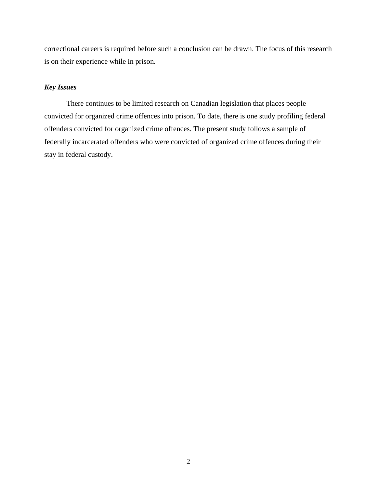correctional careers is required before such a conclusion can be drawn. The focus of this research is on their experience while in prison.

# *Key Issues*

There continues to be limited research on Canadian legislation that places people convicted for organized crime offences into prison. To date, there is one study profiling federal offenders convicted for organized crime offences. The present study follows a sample of federally incarcerated offenders who were convicted of organized crime offences during their stay in federal custody.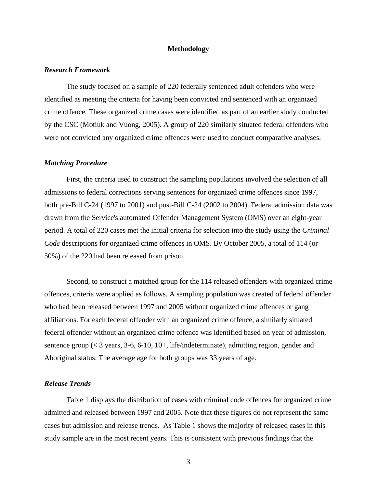### **Methodology**

#### *Research Framework*

The study focused on a sample of 220 federally sentenced adult offenders who were identified as meeting the criteria for having been convicted and sentenced with an organized crime offence. These organized crime cases were identified as part of an earlier study conducted by the CSC (Motiuk and Vuong, 2005). A group of 220 similarly situated federal offenders who were not convicted any organized crime offences were used to conduct comparative analyses.

#### *Matching Procedure*

First, the criteria used to construct the sampling populations involved the selection of all admissions to federal corrections serving sentences for organized crime offences since 1997, both pre-Bill C-24 (1997 to 2001) and post-Bill C-24 (2002 to 2004). Federal admission data was drawn from the Service's automated Offender Management System (OMS) over an eight-year period. A total of 220 cases met the initial criteria for selection into the study using the *Criminal Code* descriptions for organized crime offences in OMS. By October 2005, a total of 114 (or 50%) of the 220 had been released from prison.

 Second, to construct a matched group for the 114 released offenders with organized crime offences, criteria were applied as follows. A sampling population was created of federal offender who had been released between 1997 and 2005 without organized crime offences or gang affiliations. For each federal offender with an organized crime offence, a similarly situated federal offender without an organized crime offence was identified based on year of admission, sentence group (< 3 years, 3-6, 6-10, 10+, life/indeterminate), admitting region, gender and Aboriginal status. The average age for both groups was 33 years of age.

### *Release Trends*

Table 1 displays the distribution of cases with criminal code offences for organized crime admitted and released between 1997 and 2005. Note that these figures do not represent the same cases but admission and release trends. As Table 1 shows the majority of released cases in this study sample are in the most recent years. This is consistent with previous findings that the

3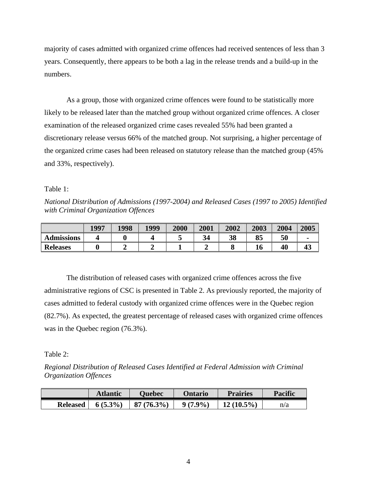majority of cases admitted with organized crime offences had received sentences of less than 3 years. Consequently, there appears to be both a lag in the release trends and a build-up in the numbers.

 As a group, those with organized crime offences were found to be statistically more likely to be released later than the matched group without organized crime offences. A closer examination of the released organized crime cases revealed 55% had been granted a discretionary release versus 66% of the matched group. Not surprising, a higher percentage of the organized crime cases had been released on statutory release than the matched group (45% and 33%, respectively).

## Table 1:

*National Distribution of Admissions (1997-2004) and Released Cases (1997 to 2005) Identified with Criminal Organization Offences* 

|                   | 1997 | 1998 | 1999 | 2000 | 2001 | 2002 | 2003     | 2004 | 2005 |
|-------------------|------|------|------|------|------|------|----------|------|------|
| <b>Admissions</b> |      |      |      |      | 34   | 38   | OЕ<br>oэ | 50   |      |
| <b>Releases</b>   |      |      |      |      |      |      | TU       | 40   | 43   |

 The distribution of released cases with organized crime offences across the five administrative regions of CSC is presented in Table 2. As previously reported, the majority of cases admitted to federal custody with organized crime offences were in the Quebec region (82.7%). As expected, the greatest percentage of released cases with organized crime offences was in the Quebec region (76.3%).

## Table 2:

*Regional Distribution of Released Cases Identified at Federal Admission with Criminal Organization Offences* 

|                 | <b>Atlantic</b> | <b>Duebec</b> | Ontario    | <b>Prairies</b> | <b>Pacific</b> |
|-----------------|-----------------|---------------|------------|-----------------|----------------|
| <b>Released</b> | $6(5.3\%)$      | $87(76.3\%)$  | $9(7.9\%)$ | $12(10.5\%)$    | n/a            |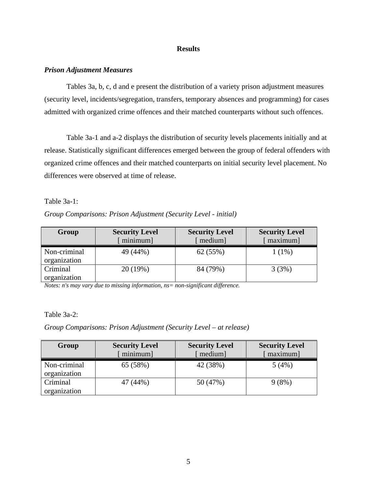### **Results**

### *Prison Adjustment Measures*

Tables 3a, b, c, d and e present the distribution of a variety prison adjustment measures (security level, incidents/segregation, transfers, temporary absences and programming) for cases admitted with organized crime offences and their matched counterparts without such offences.

 Table 3a-1 and a-2 displays the distribution of security levels placements initially and at release. Statistically significant differences emerged between the group of federal offenders with organized crime offences and their matched counterparts on initial security level placement. No differences were observed at time of release.

### Table 3a-1:

## *Group Comparisons: Prison Adjustment (Security Level - initial)*

| Group        | <b>Security Level</b><br>minimum | <b>Security Level</b><br>medium] | <b>Security Level</b><br>maximum |
|--------------|----------------------------------|----------------------------------|----------------------------------|
|              |                                  |                                  |                                  |
| Non-criminal | 49 (44%)                         | 62 (55%)                         | 1 (1%)                           |
| organization |                                  |                                  |                                  |
| Criminal     | 20(19%)                          | 84 (79%)                         | 3(3%)                            |
| organization |                                  |                                  |                                  |

*Notes: n's may vary due to missing information, ns= non-significant difference.* 

#### Table 3a-2:

### *Group Comparisons: Prison Adjustment (Security Level – at release)*

| Group                        | <b>Security Level</b><br>minimum] | <b>Security Level</b><br>medium] | <b>Security Level</b><br>maximum |
|------------------------------|-----------------------------------|----------------------------------|----------------------------------|
| Non-criminal<br>organization | 65 (58%)                          | 42 (38%)                         | 5(4%)                            |
| Criminal<br>organization     | 47 (44%)                          | 50 (47%)                         | 9(8%)                            |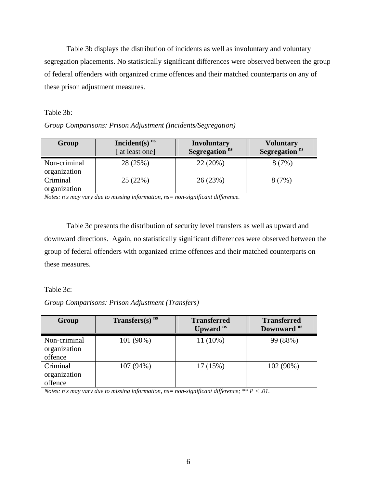Table 3b displays the distribution of incidents as well as involuntary and voluntary segregation placements. No statistically significant differences were observed between the group of federal offenders with organized crime offences and their matched counterparts on any of these prison adjustment measures.

### Table 3b:

|  | Group Comparisons: Prison Adjustment (Incidents/Segregation) |  |
|--|--------------------------------------------------------------|--|
|  |                                                              |  |

| Group                        | Incident(s) $ns$<br>at least one] | <b>Involuntary</b><br>Segregation <sup>ns</sup> | <b>Voluntary</b><br>Segregation <sup>ns</sup> |
|------------------------------|-----------------------------------|-------------------------------------------------|-----------------------------------------------|
| Non-criminal<br>organization | 28 (25%)                          | 22(20%)                                         | 8(7%)                                         |
| Criminal<br>organization     | 25(22%)                           | 26 (23%)                                        | 8(7%)                                         |

*Notes: n's may vary due to missing information, ns= non-significant difference.* 

 Table 3c presents the distribution of security level transfers as well as upward and downward directions. Again, no statistically significant differences were observed between the group of federal offenders with organized crime offences and their matched counterparts on these measures.

## Table 3c:

## *Group Comparisons: Prison Adjustment (Transfers)*

| Group                                   | Transfers(s) $ns$ | <b>Transferred</b><br>Upward <sup>ns</sup> | <b>Transferred</b><br>Downward <sup>ns</sup> |
|-----------------------------------------|-------------------|--------------------------------------------|----------------------------------------------|
| Non-criminal<br>organization<br>offence | 101 (90%)         | $11(10\%)$                                 | 99 (88%)                                     |
| Criminal<br>organization<br>offence     | 107 (94%)         | 17(15%)                                    | 102 (90%)                                    |

*Notes: n's may vary due to missing information, ns= non-significant difference; \*\* P < .01.*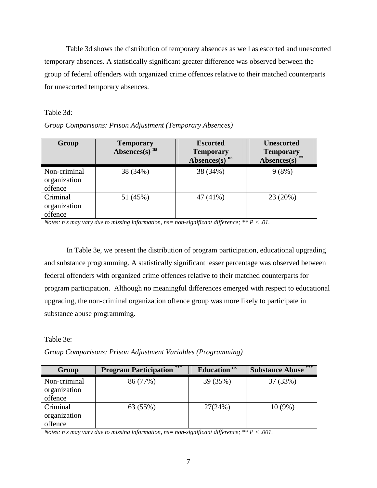Table 3d shows the distribution of temporary absences as well as escorted and unescorted temporary absences. A statistically significant greater difference was observed between the group of federal offenders with organized crime offences relative to their matched counterparts for unescorted temporary absences.

### Table 3d:

|  |  | Group Comparisons: Prison Adjustment (Temporary Absences) |  |
|--|--|-----------------------------------------------------------|--|
|  |  |                                                           |  |
|  |  |                                                           |  |

| Group                                   | <b>Temporary</b><br>Absences(s) $ns$ | <b>Escorted</b><br><b>Temporary</b><br>Absences(s) $ns$ | <b>Unescorted</b><br><b>Temporary</b><br>Absences(s) |
|-----------------------------------------|--------------------------------------|---------------------------------------------------------|------------------------------------------------------|
| Non-criminal<br>organization<br>offence | 38 (34%)                             | 38 (34%)                                                | 9(8%)                                                |
| Criminal<br>organization<br>offence     | 51 (45%)                             | 47 (41%)                                                | 23(20%)                                              |

*Notes: n's may vary due to missing information, ns= non-significant difference; \*\* P < .01.* 

In Table 3e, we present the distribution of program participation, educational upgrading and substance programming. A statistically significant lesser percentage was observed between federal offenders with organized crime offences relative to their matched counterparts for program participation. Although no meaningful differences emerged with respect to educational upgrading, the non-criminal organization offence group was more likely to participate in substance abuse programming.

Table 3e:

*Group Comparisons: Prison Adjustment Variables (Programming)* 

| Group                                   | ***<br><b>Program Participation</b> | Education <sup>ns</sup> | $***$<br><b>Substance Abuse</b> |
|-----------------------------------------|-------------------------------------|-------------------------|---------------------------------|
| Non-criminal<br>organization<br>offence | 86 (77%)                            | 39 (35%)                | 37 (33%)                        |
| Criminal<br>organization<br>offence     | 63 (55%)                            | 27(24%)                 | $10(9\%)$                       |

*Notes: n's may vary due to missing information, ns= non-significant difference; \*\* P < .001.*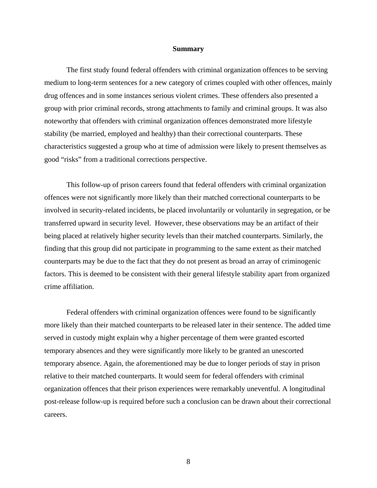#### **Summary**

The first study found federal offenders with criminal organization offences to be serving medium to long-term sentences for a new category of crimes coupled with other offences, mainly drug offences and in some instances serious violent crimes. These offenders also presented a group with prior criminal records, strong attachments to family and criminal groups. It was also noteworthy that offenders with criminal organization offences demonstrated more lifestyle stability (be married, employed and healthy) than their correctional counterparts. These characteristics suggested a group who at time of admission were likely to present themselves as good "risks" from a traditional corrections perspective.

This follow-up of prison careers found that federal offenders with criminal organization offences were not significantly more likely than their matched correctional counterparts to be involved in security-related incidents, be placed involuntarily or voluntarily in segregation, or be transferred upward in security level. However, these observations may be an artifact of their being placed at relatively higher security levels than their matched counterparts. Similarly, the finding that this group did not participate in programming to the same extent as their matched counterparts may be due to the fact that they do not present as broad an array of criminogenic factors. This is deemed to be consistent with their general lifestyle stability apart from organized crime affiliation.

Federal offenders with criminal organization offences were found to be significantly more likely than their matched counterparts to be released later in their sentence. The added time served in custody might explain why a higher percentage of them were granted escorted temporary absences and they were significantly more likely to be granted an unescorted temporary absence. Again, the aforementioned may be due to longer periods of stay in prison relative to their matched counterparts. It would seem for federal offenders with criminal organization offences that their prison experiences were remarkably uneventful. A longitudinal post-release follow-up is required before such a conclusion can be drawn about their correctional careers.

8